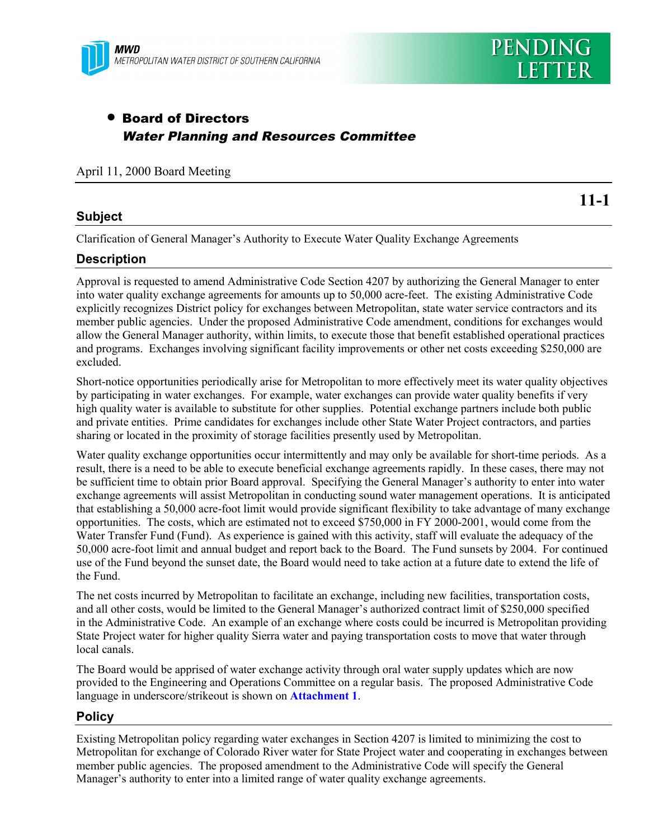

# • Board of Directors Water Planning and Resources Committee

April 11, 2000 Board Meeting

# **Subject**

**11-1**

Clarification of General Manager's Authority to Execute Water Quality Exchange Agreements

#### **Description**

Approval is requested to amend Administrative Code Section 4207 by authorizing the General Manager to enter into water quality exchange agreements for amounts up to 50,000 acre-feet. The existing Administrative Code explicitly recognizes District policy for exchanges between Metropolitan, state water service contractors and its member public agencies. Under the proposed Administrative Code amendment, conditions for exchanges would allow the General Manager authority, within limits, to execute those that benefit established operational practices and programs. Exchanges involving significant facility improvements or other net costs exceeding \$250,000 are excluded.

Short-notice opportunities periodically arise for Metropolitan to more effectively meet its water quality objectives by participating in water exchanges. For example, water exchanges can provide water quality benefits if very high quality water is available to substitute for other supplies. Potential exchange partners include both public and private entities. Prime candidates for exchanges include other State Water Project contractors, and parties sharing or located in the proximity of storage facilities presently used by Metropolitan.

Water quality exchange opportunities occur intermittently and may only be available for short-time periods. As a result, there is a need to be able to execute beneficial exchange agreements rapidly. In these cases, there may not be sufficient time to obtain prior Board approval. Specifying the General Manager's authority to enter into water exchange agreements will assist Metropolitan in conducting sound water management operations. It is anticipated that establishing a 50,000 acre-foot limit would provide significant flexibility to take advantage of many exchange opportunities. The costs, which are estimated not to exceed \$750,000 in FY 2000-2001, would come from the Water Transfer Fund (Fund). As experience is gained with this activity, staff will evaluate the adequacy of the 50,000 acre-foot limit and annual budget and report back to the Board. The Fund sunsets by 2004. For continued use of the Fund beyond the sunset date, the Board would need to take action at a future date to extend the life of the Fund.

The net costs incurred by Metropolitan to facilitate an exchange, including new facilities, transportation costs, and all other costs, would be limited to the General Manager's authorized contract limit of \$250,000 specified in the Administrative Code. An example of an exchange where costs could be incurred is Metropolitan providing State Project water for higher quality Sierra water and paying transportation costs to move that water through local canals.

The Board would be apprised of water exchange activity through oral water supply updates which are now provided to the Engineering and Operations Committee on a regular basis. The proposed Administrative Code language in underscore/strikeout is shown on **Attachment 1**.

# **Policy**

Existing Metropolitan policy regarding water exchanges in Section 4207 is limited to minimizing the cost to Metropolitan for exchange of Colorado River water for State Project water and cooperating in exchanges between member public agencies. The proposed amendment to the Administrative Code will specify the General Manager's authority to enter into a limited range of water quality exchange agreements.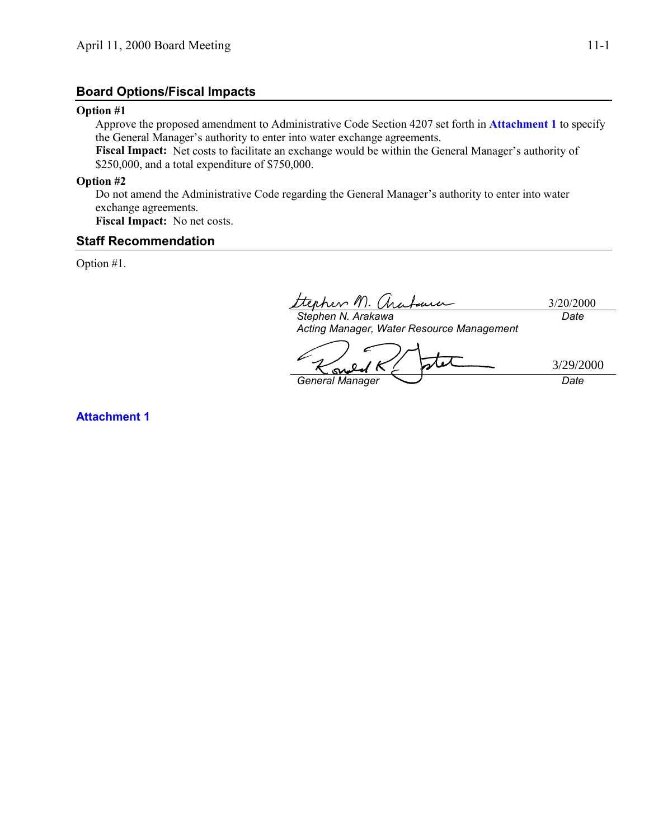# **Board Options/Fiscal Impacts**

#### **Option #1**

Approve the proposed amendment to Administrative Code Section 4207 set forth in **Attachment 1** to specify the General Manager's authority to enter into water exchange agreements.

**Fiscal Impact:** Net costs to facilitate an exchange would be within the General Manager's authority of \$250,000, and a total expenditure of \$750,000.

**Option #2**

Do not amend the Administrative Code regarding the General Manager's authority to enter into water exchange agreements.

**Fiscal Impact:** No net costs.

# **Staff Recommendation**

Option #1.

3/20/2000 *Stephen N. Arakawa Date*

*Acting Manager, Water Resource Management*

*General Manager Date* 3/29/2000

**Attachment 1**